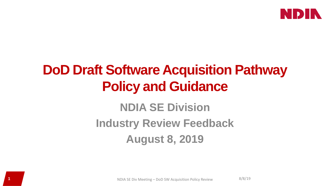

# **DoD Draft Software Acquisition Pathway Policy and Guidance**

# **NDIA SE Division Industry Review Feedback August 8, 2019**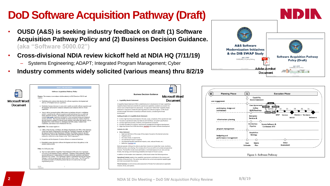# **DoD Software Acquisition Pathway (Draft)**

- **OUSD (A&S) is seeking industry feedback on draft (1) Software Acquisition Pathway Policy and (2) Business Decision Guidance. (aka "Software 5000.02")**
- **Cross-divisional NDIA review kickoff held at NDIA HQ (7/11/19)** 
	- Systems Engineering; ADAPT; Integrated Program Management; Cyber
- **Industry comments widely solicited (various means) thru 8/2/19**





#### **Microsoft Word** Document

· Establishes business decisions to assess risk to enable successful software acquisition and development: and promotes continuous integration and continuous delivery of user capabilities

· Establishes policy and provides direction for software acquisition, development and

**Software Acquisition Pathway Policy** 

Purpose: This issuance, in accordance with the authority in DoD Directives 5000.01 and

delivery of Warfighter/end-user capabilities.

· Aims to deliver increased military effectiveness on timelines relevant to warfighting aeeds by simplifying the software acquisition model and placing focus on achieving timely measured outcomes. The benefits accrued short term are earlier delivery of essential high quality capabilities facilitated by robust automated testing and integrated security processes. The long-term benefits are aimed at achieving common objectives through responsive fielding of software-based capability and greater data sharing, such as Integrated Fires, Multi-Domain C2, Intelligence and ISR systems, Unified Cybe Capabilities, and extensive use of Enterprise Services.

#### Applicability: This issuance applies to:

- a.) Office of the Secretary of Defense, the Military Departments, the Office of the Chairman of the Joint Chiefs of Staff and the Joint Staff, the Combatant Commands, the Office of the Inspector General of the Department of Defense, the Defense Agencies, the DoD Field Activities, and all other organizational entities within the Department of Defense (referred to collectively in this issuance as the "DoD Components").
- b.) Acquisition and development of custom software on commercial hardware.
- c.) Embedded systems that tailor software development activities to this pathway to the greatest extent possible.

#### Policy: It is DoD policy that:

a) The User shall establish a Capability Needs Statement (CNS) and a User Agreement (UA) prior to development of major capabilities. Capability Needs Statements identify mission deficiencies or enhancements to existing operational capabilities and features desired for new systems. User Agreements capture a commitment between the Program<br>Manager's software program teams and the end user of the system. The CNS and UA documents are meant to be flexible products that are to be used in lieu of a rigid requirements process.

V0.93<br>7/02/20



Operational Context: explains how capability requirement contributes to the missions and activities of the joint force. This section also defines the current and projected capability gaps and risks to accomplish the mission

Threat Summary: Current and accurate assessment of threats from adversaries to applicable missions, forces, and systems

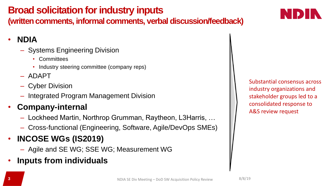## **Broad solicitation for industry inputs**

**(written comments, informal comments, verbal discussion/feedback)**

#### • **NDIA**

- Systems Engineering Division
	- Committees
	- Industry steering committee (company reps)
- ADAPT
- Cyber Division
- Integrated Program Management Division

### • **Company-internal**

- Lockheed Martin, Northrop Grumman, Raytheon, L3Harris, …
- Cross-functional (Engineering, Software, Agile/DevOps SMEs)
- **INCOSE WGs (IS2019)**
	- Agile and SE WG; SSE WG; Measurement WG
- **Inputs from individuals**

Substantial consensus across industry organizations and stakeholder groups led to a consolidated response to A&S review request

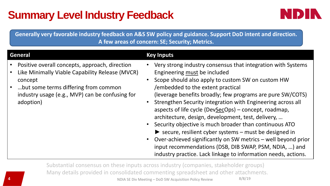# **Summary Level Industry Feedback**



**Generally very favorable industry feedback on A&S SW policy and guidance. Support DoD intent and direction. A few areas of concern: SE; Security; Metrics.**

| <b>General</b>                                                                                                                                                                                                       | <b>Key Inputs</b>                                                                                                                                                                                                                                                                                                                                                                                                                                                                                                                                                                                                                                                                                                                                    |
|----------------------------------------------------------------------------------------------------------------------------------------------------------------------------------------------------------------------|------------------------------------------------------------------------------------------------------------------------------------------------------------------------------------------------------------------------------------------------------------------------------------------------------------------------------------------------------------------------------------------------------------------------------------------------------------------------------------------------------------------------------------------------------------------------------------------------------------------------------------------------------------------------------------------------------------------------------------------------------|
| Positive overall concepts, approach, direction<br>Like Minimally Viable Capability Release (MVCR)<br>concept<br>but some terms differing from common<br>industry usage (e.g., MVP) can be confusing for<br>adoption) | Very strong industry consensus that integration with Systems<br>Engineering must be included<br>Scope should also apply to custom SW on custom HW<br>/embedded to the extent practical<br>(leverage benefits broadly; few programs are pure SW/COTS)<br>Strengthen Security integration with Engineering across all<br>aspects of life cycle (DevSecOps) – concept, roadmap,<br>architecture, design, development, test, delivery,<br>• Security objective is much broader than continuous ATO<br>Secure, resilient cyber systems - must be designed in<br>Over-achieved significantly on SW metrics – well beyond prior<br>input recommendations (DSB, DIB SWAP, PSM, NDIA, ) and<br>industry practice. Lack linkage to information needs, actions. |

**4** NDIA SE Div Meeting – DoD SW Acquisition Policy Review 8/8/19 Substantial consensus on these inputs across industry (companies, stakeholder groups) Many details provided in consolidated commenting spreadsheet and other attachments.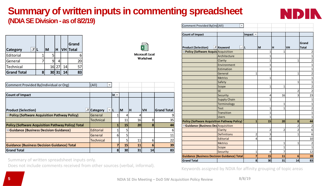#### **Summary of written inputs in commenting spreadsheet (NDIA SE Division -as of 8/2/19)**



| <b>Category</b>    |   | M               | H         |    | Grand<br>VH Total |
|--------------------|---|-----------------|-----------|----|-------------------|
| Editorial          |   | 5               |           |    | 6                 |
| General            |   | 9               | 4         |    | 20                |
| Technical          |   |                 | $16$   27 | 14 | 57                |
| <b>Grand Total</b> | 8 | 30 <sub>l</sub> | 31        | 14 | 83                |



#### **Microsoft Excel** Worksheet

| Comment Provided By(Individual or Org)                    | (AII)<br>$\overline{\phantom{a}}$ |         |           |                 |           |                    |
|-----------------------------------------------------------|-----------------------------------|---------|-----------|-----------------|-----------|--------------------|
|                                                           |                                   |         |           |                 |           |                    |
| Count of Impact                                           |                                   | $\ln -$ |           |                 |           |                    |
|                                                           |                                   |         |           |                 |           |                    |
|                                                           |                                   |         |           |                 |           |                    |
| <b>Product (Selection)</b><br>÷Т                          | <b>Category</b>                   |         | <b>IM</b> | ΙH              | <b>VH</b> | <b>Grand Total</b> |
| □ Policy (Software Acquisition Pathway Policy)            | lGeneral                          |         |           | 4               |           |                    |
|                                                           | <b>Technical</b>                  |         | 11        | 16              | 8         | 35                 |
| <b>Policy (Software Acquisition Pathway Policy) Total</b> |                                   | 1       | 15        | 20 <sub>l</sub> | 8         | 44                 |
| Guidance (Business Decision Guidance)                     | Editorial                         |         |           |                 |           |                    |
|                                                           | General                           | 6       | 5         |                 |           | 11                 |
|                                                           | <b>Technical</b>                  |         |           | 11              | 6         | 22                 |
| <b>Guidance (Business Decision Guidance) Total</b>        |                                   | 7       | 15        | 11              | 6         | 39                 |
| <b>Grand Total</b>                                        |                                   | 8       | 30        | 31              | 14        | 83                 |

Summary of written spreadsheet inputs only.

Does not include comments received from other sources (verbal, informal).

| Comment Provided By(Ind(All)                        | ÷                                     |                                 |                |                |                |                       |
|-----------------------------------------------------|---------------------------------------|---------------------------------|----------------|----------------|----------------|-----------------------|
|                                                     |                                       |                                 |                |                |                |                       |
| <b>Count of Impact</b>                              |                                       | Impact $\overline{\phantom{a}}$ |                |                |                |                       |
| <b>Product (Selection)</b>                          | <b>T</b> Keyword<br>$+1$ <sub>L</sub> |                                 | M              | н              | <b>VH</b>      | Grand<br><b>Total</b> |
| <b>EPolicy (Software Acquis Acquisition</b>         |                                       |                                 | $\overline{1}$ | 1              |                | 2                     |
|                                                     | Architecture                          |                                 | $\overline{1}$ |                |                | $\mathbf{1}$          |
|                                                     | Clarity                               |                                 | $\overline{1}$ |                | $\overline{1}$ | $\overline{2}$        |
|                                                     | Environment                           |                                 | $\overline{1}$ |                |                | $\mathbf{1}$          |
|                                                     | Estimation                            |                                 | 1              |                |                | 1                     |
|                                                     | General                               | $\mathbf{1}$                    |                |                | $\overline{1}$ | 2                     |
|                                                     | <b>Metrics</b>                        |                                 | $\overline{1}$ |                |                | 1                     |
|                                                     | Safety                                |                                 |                |                | 1              | 1                     |
|                                                     | Scope                                 |                                 | 1              | $\mathbf{1}$   |                | 2                     |
|                                                     | <b>SE</b>                             |                                 |                |                | 2              | $\overline{2}$        |
|                                                     | Security                              |                                 | 4              | 16             | 3              | 23                    |
|                                                     | <b>Supply Chain</b>                   |                                 | $\overline{1}$ |                |                | 1                     |
|                                                     | Terminology                           |                                 |                | 1              |                | 1                     |
|                                                     | <b>Test</b>                           |                                 | 1              | 1              |                | 2                     |
|                                                     | Transition                            |                                 | $\overline{1}$ |                |                | 1                     |
|                                                     | <b>Users</b>                          |                                 | 1              |                |                | 1                     |
| <b>Policy (Software Acquisition Pathway Policy)</b> |                                       | $\mathbf{1}$                    | 15             | 20             | 8              | 44                    |
| <b>E</b> Guidance (Business Ded Acquisition         |                                       |                                 |                |                | $\overline{2}$ | 2                     |
|                                                     | Clarity                               |                                 | $\overline{2}$ | $\overline{2}$ | $\overline{2}$ | 6                     |
|                                                     | <b>Definitions</b>                    | 2                               | 3              |                | 1              | 6                     |
|                                                     | Editorial                             | 4                               | 6              |                |                | 10                    |
|                                                     | <b>Metrics</b>                        |                                 |                | 1              | 1              | 2                     |
|                                                     | Scope                                 |                                 |                | 1              |                | 1                     |
|                                                     | Security                              | $\mathbf{1}$                    | 4              | 7              |                | 12                    |
| <b>Guidance (Business Decision Guidance) Total</b>  |                                       | $\overline{7}$                  | 15             | 11             | 6              | 39                    |
| <b>Grand Total</b>                                  |                                       | 8                               | 30             | 31             | 14             | 83                    |

Keywords assigned by NDIA for affinity grouping of topic areas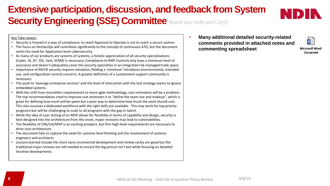### **Extensive participation, discussion, and feedback from System Security Engineering (SSE) Committee (thank you, Holly and Cory!)**

#### Key Take-aways:

- Security is framed in a way of compliance; to reach Approval to Operate is not to reach a secure system.
- The focus on DevSecOps will contribute significantly to the concept of continuous ATO, but the document omits the need for Application level cybersecurity.
- As many of our products are systems of systems, a holistic appreciation of all security specializations (Cyber, IA, AT, SSE, SwA, SCRM) is necessary; Compliance to RMF Controls only buys a minimum level of assurance and doesn't adequately cover the security specialties in an integrated risk managed trade space.
- Importance of MVCR security requires elevation, fielding a 'minimum' introduces environmental, intended use, and configuration control concerns. A greater definition of a sustainment support community is necessary.
- The push to 'leverage enterprise services' and the level of interaction with the test strategy seems to ignore embedded systems.
- With the shift from monolithic requirements to more agile methodology, cost estimation will be a problem. The top recommendation cited to improve cost estimates is to "define the team size and makeup", which is great for defining how much will be spent but a poor way to determine how much the work should cost. This also assumes a dedicated workforce with the right skills are available. This may work for top priority programs but will be challenging to scale to all programs with the gap in talent.
- While the idea of user testing of an MVP allows for flexibility in terms of capability and design, security is best designed into the architecture from the onset, major revisions may lead to vulnerabilities.
- The flexibility of CNS/UA/MVP is an exciting prospect, but firm high-level requirements are necessary to drive core architecture.
- The document fails to capture the need for systems-level thinking and the involvement of systems engineers and architects.
- Lessons learned include the short story incremental development and review cycles are good but the traditional major reviews are still needed to ensure the big picture isn't lost while focusing on detailed iterative developments.

• **Many additional detailed security-related comments provided in attached notes and commenting spreadsheet**

**Microsoft Word** Document

삩